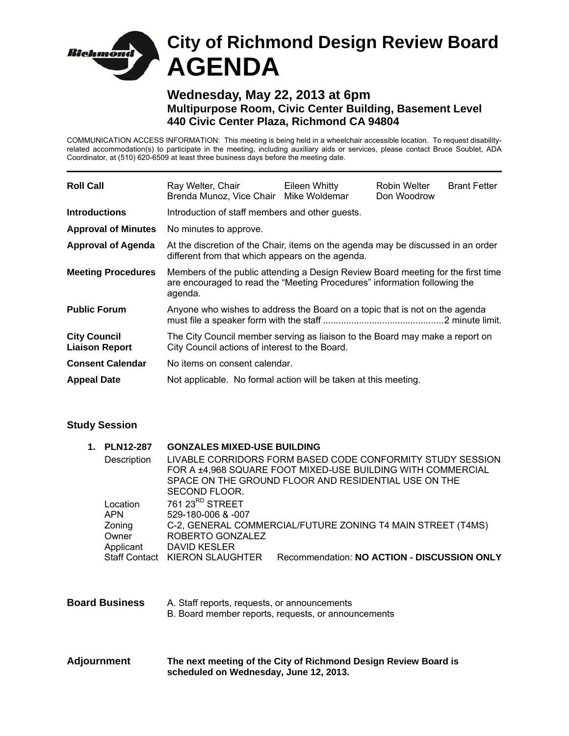

## **Wednesday, May 22, 2013 at 6pm Multipurpose Room, Civic Center Building, Basement Level 440 Civic Center Plaza, Richmond CA 94804**

COMMUNICATION ACCESS INFORMATION: This meeting is being held in a wheelchair accessible location. To request disabilityrelated accommodation(s) to participate in the meeting, including auxiliary aids or services, please contact Bruce Soublet, ADA Coordinator, at (510) 620-6509 at least three business days before the meeting date.

| <b>Roll Call</b>                             | Ray Welter, Chair<br>Brenda Munoz, Vice Chair Mike Woldemar                                                                                                              | Eileen Whitty | Robin Welter<br>Don Woodrow | <b>Brant Fetter</b> |
|----------------------------------------------|--------------------------------------------------------------------------------------------------------------------------------------------------------------------------|---------------|-----------------------------|---------------------|
| <b>Introductions</b>                         | Introduction of staff members and other guests.                                                                                                                          |               |                             |                     |
| <b>Approval of Minutes</b>                   | No minutes to approve.                                                                                                                                                   |               |                             |                     |
| <b>Approval of Agenda</b>                    | At the discretion of the Chair, items on the agenda may be discussed in an order<br>different from that which appears on the agenda.                                     |               |                             |                     |
| <b>Meeting Procedures</b>                    | Members of the public attending a Design Review Board meeting for the first time<br>are encouraged to read the "Meeting Procedures" information following the<br>agenda. |               |                             |                     |
| <b>Public Forum</b>                          | Anyone who wishes to address the Board on a topic that is not on the agenda                                                                                              |               |                             |                     |
| <b>City Council</b><br><b>Liaison Report</b> | The City Council member serving as liaison to the Board may make a report on<br>City Council actions of interest to the Board.                                           |               |                             |                     |
| <b>Consent Calendar</b>                      | No items on consent calendar.                                                                                                                                            |               |                             |                     |
| <b>Appeal Date</b>                           | Not applicable. No formal action will be taken at this meeting.                                                                                                          |               |                             |                     |

## **Study Session**

| 1.                    | <b>PLN12-287</b>   | <b>GONZALES MIXED-USE BUILDING</b><br>LIVABLE CORRIDORS FORM BASED CODE CONFORMITY STUDY SESSION |                                             |  |  |
|-----------------------|--------------------|--------------------------------------------------------------------------------------------------|---------------------------------------------|--|--|
|                       | Description        |                                                                                                  |                                             |  |  |
|                       |                    | FOR A ±4,968 SQUARE FOOT MIXED-USE BUILDING WITH COMMERCIAL                                      |                                             |  |  |
|                       |                    | SPACE ON THE GROUND FLOOR AND RESIDENTIAL USE ON THE                                             |                                             |  |  |
|                       |                    | SECOND FLOOR.                                                                                    |                                             |  |  |
|                       | Location           | 761 23 <sup>RD</sup> STREET                                                                      |                                             |  |  |
|                       | <b>APN</b>         | 529-180-006 & -007                                                                               |                                             |  |  |
|                       | Zoning             | C-2, GENERAL COMMERCIAL/FUTURE ZONING T4 MAIN STREET (T4MS)<br>ROBERTO GONZALEZ                  |                                             |  |  |
|                       | Owner<br>Applicant | DAVID KESLER                                                                                     |                                             |  |  |
|                       |                    | Staff Contact KIERON SLAUGHTER                                                                   | Recommendation: NO ACTION - DISCUSSION ONLY |  |  |
|                       |                    |                                                                                                  |                                             |  |  |
|                       |                    |                                                                                                  |                                             |  |  |
|                       |                    |                                                                                                  |                                             |  |  |
| <b>Board Business</b> |                    | A. Staff reports, requests, or announcements                                                     |                                             |  |  |
|                       |                    | B. Board member reports, requests, or announcements                                              |                                             |  |  |
|                       |                    |                                                                                                  |                                             |  |  |
|                       |                    |                                                                                                  |                                             |  |  |
|                       |                    |                                                                                                  |                                             |  |  |

**Adjournment The next meeting of the City of Richmond Design Review Board is scheduled on Wednesday, June 12, 2013.**